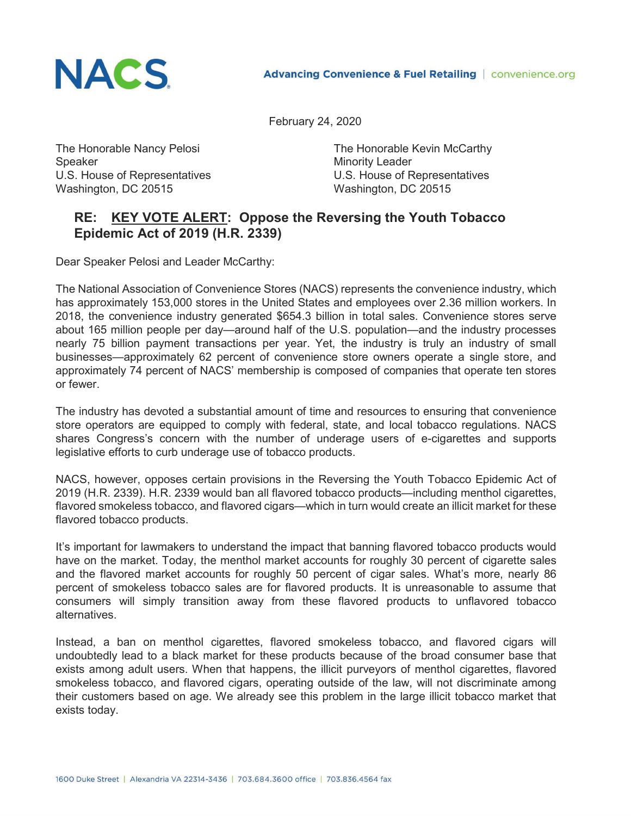

February 24, 2020

Speaker Minority Leader U.S. House of Representatives U.S. House of Representatives Washington, DC 20515 Washington, DC 20515

The Honorable Nancy Pelosi **The Honorable Kevin McCarthy** 

## **RE: KEY VOTE ALERT: Oppose the Reversing the Youth Tobacco Epidemic Act of 2019 (H.R. 2339)**

Dear Speaker Pelosi and Leader McCarthy:

The National Association of Convenience Stores (NACS) represents the convenience industry, which has approximately 153,000 stores in the United States and employees over 2.36 million workers. In 2018, the convenience industry generated \$654.3 billion in total sales. Convenience stores serve about 165 million people per day—around half of the U.S. population—and the industry processes nearly 75 billion payment transactions per year. Yet, the industry is truly an industry of small businesses—approximately 62 percent of convenience store owners operate a single store, and approximately 74 percent of NACS' membership is composed of companies that operate ten stores or fewer.

The industry has devoted a substantial amount of time and resources to ensuring that convenience store operators are equipped to comply with federal, state, and local tobacco regulations. NACS shares Congress's concern with the number of underage users of e-cigarettes and supports legislative efforts to curb underage use of tobacco products.

NACS, however, opposes certain provisions in the Reversing the Youth Tobacco Epidemic Act of 2019 (H.R. 2339). H.R. 2339 would ban all flavored tobacco products—including menthol cigarettes, flavored smokeless tobacco, and flavored cigars—which in turn would create an illicit market for these flavored tobacco products.

It's important for lawmakers to understand the impact that banning flavored tobacco products would have on the market. Today, the menthol market accounts for roughly 30 percent of cigarette sales and the flavored market accounts for roughly 50 percent of cigar sales. What's more, nearly 86 percent of smokeless tobacco sales are for flavored products. It is unreasonable to assume that consumers will simply transition away from these flavored products to unflavored tobacco alternatives.

Instead, a ban on menthol cigarettes, flavored smokeless tobacco, and flavored cigars will undoubtedly lead to a black market for these products because of the broad consumer base that exists among adult users. When that happens, the illicit purveyors of menthol cigarettes, flavored smokeless tobacco, and flavored cigars, operating outside of the law, will not discriminate among their customers based on age. We already see this problem in the large illicit tobacco market that exists today.